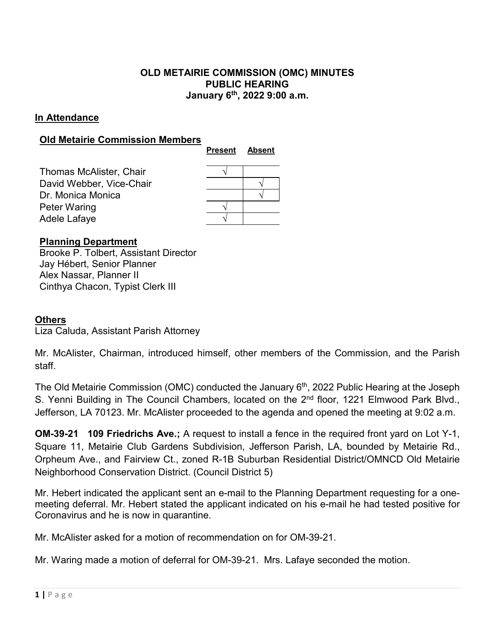# **OLD METAIRIE COMMISSION (OMC) MINUTES PUBLIC HEARING January 6th, 2022 9:00 a.m.**

## **In Attendance**

#### **Old Metairie Commission Members**

|                                | <b>Present</b> | <b>Absent</b> |
|--------------------------------|----------------|---------------|
| <b>Thomas McAlister, Chair</b> |                |               |
| David Webber, Vice-Chair       |                |               |
| Dr. Monica Monica              |                |               |
| <b>Peter Waring</b>            |                |               |
| Adele Lafaye                   |                |               |

#### **Planning Department**

Brooke P. Tolbert, Assistant Director Jay Hébert, Senior Planner Alex Nassar, Planner II Cinthya Chacon, Typist Clerk III

## **Others**

Liza Caluda, Assistant Parish Attorney

Mr. McAlister, Chairman, introduced himself, other members of the Commission, and the Parish staff.

The Old Metairie Commission (OMC) conducted the January 6<sup>th</sup>, 2022 Public Hearing at the Joseph S. Yenni Building in The Council Chambers, located on the 2<sup>nd</sup> floor, 1221 Elmwood Park Blvd., Jefferson, LA 70123. Mr. McAlister proceeded to the agenda and opened the meeting at 9:02 a.m.

**OM-39-21 109 Friedrichs Ave.;** A request to install a fence in the required front yard on Lot Y-1, Square 11, Metairie Club Gardens Subdivision, Jefferson Parish, LA, bounded by Metairie Rd., Orpheum Ave., and Fairview Ct., zoned R-1B Suburban Residential District/OMNCD Old Metairie Neighborhood Conservation District. (Council District 5)

Mr. Hebert indicated the applicant sent an e-mail to the Planning Department requesting for a onemeeting deferral. Mr. Hebert stated the applicant indicated on his e-mail he had tested positive for Coronavirus and he is now in quarantine.

Mr. McAlister asked for a motion of recommendation on for OM-39-21.

Mr. Waring made a motion of deferral for OM-39-21. Mrs. Lafaye seconded the motion.